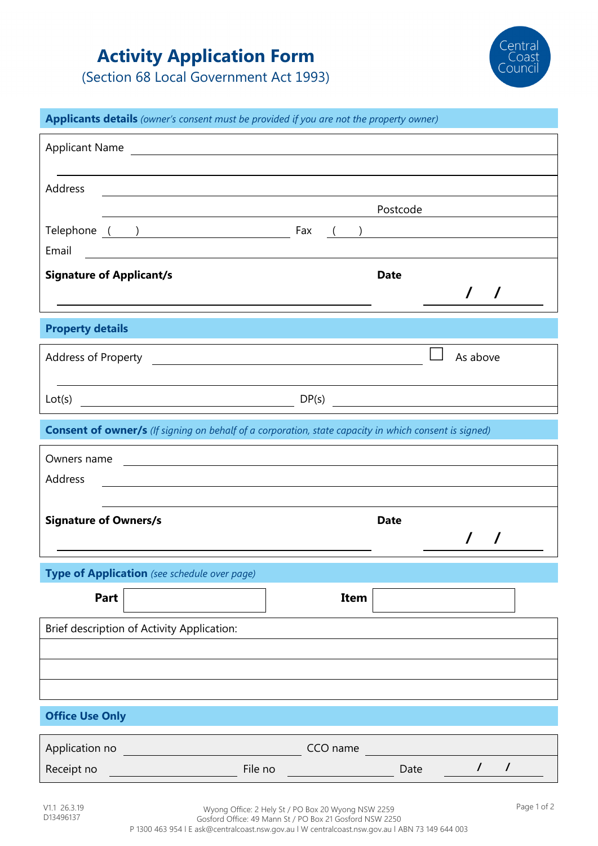# **Activity Application Form**

(Section 68 Local Government Act 1993)



| Applicants details (owner's consent must be provided if you are not the property owner)               |                                                                                                                        |  |          |             |          |            |
|-------------------------------------------------------------------------------------------------------|------------------------------------------------------------------------------------------------------------------------|--|----------|-------------|----------|------------|
| <b>Applicant Name</b>                                                                                 |                                                                                                                        |  |          |             |          |            |
|                                                                                                       |                                                                                                                        |  |          |             |          |            |
| Address                                                                                               |                                                                                                                        |  |          |             |          |            |
|                                                                                                       |                                                                                                                        |  |          | Postcode    |          |            |
| Email                                                                                                 | Telephone ( ) Fax ( )                                                                                                  |  |          |             |          |            |
| <b>Signature of Applicant/s</b>                                                                       |                                                                                                                        |  |          | <b>Date</b> |          |            |
|                                                                                                       |                                                                                                                        |  |          |             |          | $\sqrt{ }$ |
| <b>Property details</b>                                                                               |                                                                                                                        |  |          |             |          |            |
|                                                                                                       |                                                                                                                        |  |          |             | As above |            |
|                                                                                                       |                                                                                                                        |  |          |             |          |            |
|                                                                                                       | $Lot(s)$ $DP(s)$                                                                                                       |  |          |             |          |            |
| Consent of owner/s (If signing on behalf of a corporation, state capacity in which consent is signed) |                                                                                                                        |  |          |             |          |            |
| Owners name                                                                                           | <u> 1989 - Johann Stoff, deutscher Stoffen und der Stoffen und der Stoffen und der Stoffen und der Stoffen und der</u> |  |          |             |          |            |
| Address                                                                                               |                                                                                                                        |  |          |             |          |            |
| <b>Signature of Owners/s</b>                                                                          |                                                                                                                        |  |          | <b>Date</b> |          |            |
|                                                                                                       |                                                                                                                        |  |          |             |          | $\prime$   |
| Type of Application (see schedule over page)                                                          |                                                                                                                        |  |          |             |          |            |
| Part                                                                                                  |                                                                                                                        |  | Item     |             |          |            |
|                                                                                                       |                                                                                                                        |  |          |             |          |            |
| Brief description of Activity Application:                                                            |                                                                                                                        |  |          |             |          |            |
|                                                                                                       |                                                                                                                        |  |          |             |          |            |
|                                                                                                       |                                                                                                                        |  |          |             |          |            |
|                                                                                                       |                                                                                                                        |  |          |             |          |            |
| <b>Office Use Only</b>                                                                                |                                                                                                                        |  |          |             |          |            |
| Application no                                                                                        |                                                                                                                        |  | CCO name |             |          |            |